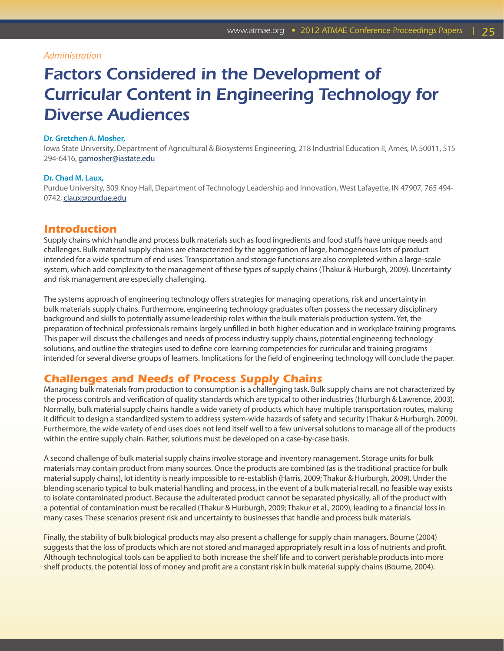## *Administration*

# *Factors Considered in the Development of Curricular Content in Engineering Technology for Diverse Audiences*

### **Dr. Gretchen A. Mosher,**

Iowa State University, Department of Agricultural & Biosystems Engineering, 218 Industrial Education II, Ames, IA 50011, 515 294-6416, [gamosher@iastate.edu](mailto:gamosher@iastate.edu)

### **Dr. Chad M. Laux,**

Purdue University, 309 Knoy Hall, Department of Technology Leadership and Innovation, West Lafayette, IN 47907, 765 494- 0742, [claux@purdue.edu](mailto:claux@purdue.edu)

## *Introduction*

Supply chains which handle and process bulk materials such as food ingredients and food stuffs have unique needs and challenges. Bulk material supply chains are characterized by the aggregation of large, homogeneous lots of product intended for a wide spectrum of end uses. Transportation and storage functions are also completed within a large-scale system, which add complexity to the management of these types of supply chains (Thakur & Hurburgh, 2009). Uncertainty and risk management are especially challenging.

The systems approach of engineering technology offers strategies for managing operations, risk and uncertainty in bulk materials supply chains. Furthermore, engineering technology graduates often possess the necessary disciplinary background and skills to potentially assume leadership roles within the bulk materials production system. Yet, the preparation of technical professionals remains largely unfilled in both higher education and in workplace training programs. This paper will discuss the challenges and needs of process industry supply chains, potential engineering technology solutions, and outline the strategies used to define core learning competencies for curricular and training programs intended for several diverse groups of learners. Implications for the field of engineering technology will conclude the paper.

## *Challenges and Needs of Process Supply Chains*

Managing bulk materials from production to consumption is a challenging task. Bulk supply chains are not characterized by the process controls and verification of quality standards which are typical to other industries (Hurburgh & Lawrence, 2003). Normally, bulk material supply chains handle a wide variety of products which have multiple transportation routes, making it difficult to design a standardized system to address system-wide hazards of safety and security (Thakur & Hurburgh, 2009). Furthermore, the wide variety of end uses does not lend itself well to a few universal solutions to manage all of the products within the entire supply chain. Rather, solutions must be developed on a case-by-case basis.

A second challenge of bulk material supply chains involve storage and inventory management. Storage units for bulk materials may contain product from many sources. Once the products are combined (as is the traditional practice for bulk material supply chains), lot identity is nearly impossible to re-establish (Harris, 2009; Thakur & Hurburgh, 2009). Under the blending scenario typical to bulk material handling and process, in the event of a bulk material recall, no feasible way exists to isolate contaminated product. Because the adulterated product cannot be separated physically, all of the product with a potential of contamination must be recalled (Thakur & Hurburgh, 2009; Thakur et al., 2009), leading to a financial loss in many cases. These scenarios present risk and uncertainty to businesses that handle and process bulk materials.

Finally, the stability of bulk biological products may also present a challenge for supply chain managers. Bourne (2004) suggests that the loss of products which are not stored and managed appropriately result in a loss of nutrients and profit. Although technological tools can be applied to both increase the shelf life and to convert perishable products into more shelf products, the potential loss of money and profit are a constant risk in bulk material supply chains (Bourne, 2004).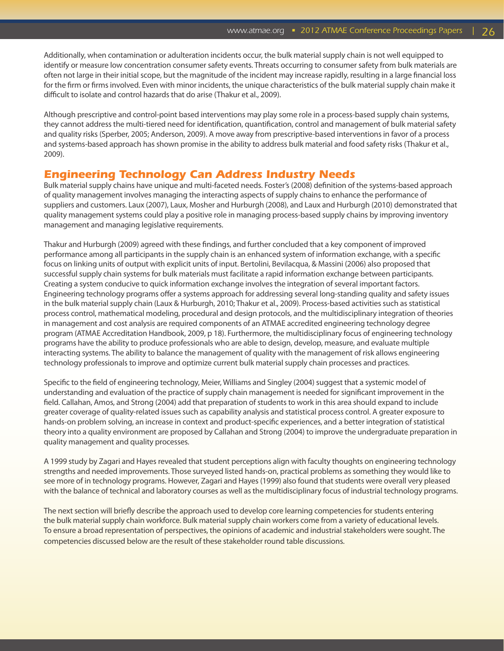Additionally, when contamination or adulteration incidents occur, the bulk material supply chain is not well equipped to identify or measure low concentration consumer safety events. Threats occurring to consumer safety from bulk materials are often not large in their initial scope, but the magnitude of the incident may increase rapidly, resulting in a large financial loss for the firm or firms involved. Even with minor incidents, the unique characteristics of the bulk material supply chain make it difficult to isolate and control hazards that do arise (Thakur et al., 2009).

Although prescriptive and control-point based interventions may play some role in a process-based supply chain systems, they cannot address the multi-tiered need for identification, quantification, control and management of bulk material safety and quality risks (Sperber, 2005; Anderson, 2009). A move away from prescriptive-based interventions in favor of a process and systems-based approach has shown promise in the ability to address bulk material and food safety risks (Thakur et al., 2009).

## *Engineering Technology Can Address Industry Needs*

Bulk material supply chains have unique and multi-faceted needs. Foster's (2008) definition of the systems-based approach of quality management involves managing the interacting aspects of supply chains to enhance the performance of suppliers and customers. Laux (2007), Laux, Mosher and Hurburgh (2008), and Laux and Hurburgh (2010) demonstrated that quality management systems could play a positive role in managing process-based supply chains by improving inventory management and managing legislative requirements.

Thakur and Hurburgh (2009) agreed with these findings, and further concluded that a key component of improved performance among all participants in the supply chain is an enhanced system of information exchange, with a specific focus on linking units of output with explicit units of input. Bertolini, Bevilacqua, & Massini (2006) also proposed that successful supply chain systems for bulk materials must facilitate a rapid information exchange between participants. Creating a system conducive to quick information exchange involves the integration of several important factors. Engineering technology programs offer a systems approach for addressing several long-standing quality and safety issues in the bulk material supply chain (Laux & Hurburgh, 2010; Thakur et al., 2009). Process-based activities such as statistical process control, mathematical modeling, procedural and design protocols, and the multidisciplinary integration of theories in management and cost analysis are required components of an ATMAE accredited engineering technology degree program (ATMAE Accreditation Handbook, 2009, p 18). Furthermore, the multidisciplinary focus of engineering technology programs have the ability to produce professionals who are able to design, develop, measure, and evaluate multiple interacting systems. The ability to balance the management of quality with the management of risk allows engineering technology professionals to improve and optimize current bulk material supply chain processes and practices.

Specific to the field of engineering technology, Meier, Williams and Singley (2004) suggest that a systemic model of understanding and evaluation of the practice of supply chain management is needed for significant improvement in the field. Callahan, Amos, and Strong (2004) add that preparation of students to work in this area should expand to include greater coverage of quality-related issues such as capability analysis and statistical process control. A greater exposure to hands-on problem solving, an increase in context and product-specific experiences, and a better integration of statistical theory into a quality environment are proposed by Callahan and Strong (2004) to improve the undergraduate preparation in quality management and quality processes.

A 1999 study by Zagari and Hayes revealed that student perceptions align with faculty thoughts on engineering technology strengths and needed improvements. Those surveyed listed hands-on, practical problems as something they would like to see more of in technology programs. However, Zagari and Hayes (1999) also found that students were overall very pleased with the balance of technical and laboratory courses as well as the multidisciplinary focus of industrial technology programs.

The next section will briefly describe the approach used to develop core learning competencies for students entering the bulk material supply chain workforce. Bulk material supply chain workers come from a variety of educational levels. To ensure a broad representation of perspectives, the opinions of academic and industrial stakeholders were sought. The competencies discussed below are the result of these stakeholder round table discussions.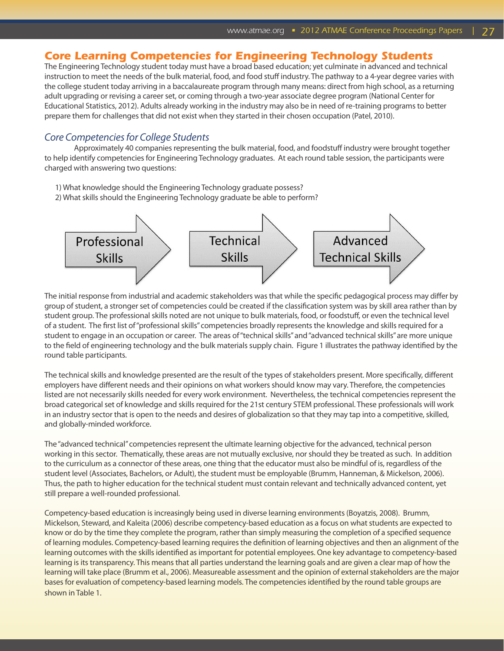# *Core Learning Competencies for Engineering Technology Students*

The Engineering Technology student today must have a broad based education; yet culminate in advanced and technical instruction to meet the needs of the bulk material, food, and food stuff industry. The pathway to a 4-year degree varies with the college student today arriving in a baccalaureate program through many means: direct from high school, as a returning adult upgrading or revising a career set, or coming through a two-year associate degree program (National Center for Educational Statistics, 2012). Adults already working in the industry may also be in need of re-training programs to better prepare them for challenges that did not exist when they started in their chosen occupation (Patel, 2010).

## *Core Competencies for College Students*

Approximately 40 companies representing the bulk material, food, and foodstuff industry were brought together to help identify competencies for Engineering Technology graduates. At each round table session, the participants were charged with answering two questions:

- 1) What knowledge should the Engineering Technology graduate possess?
- 2) What skills should the Engineering Technology graduate be able to perform?



The initial response from industrial and academic stakeholders was that while the specific pedagogical process may differ by group of student, a stronger set of competencies could be created if the classification system was by skill area rather than by student group. The professional skills noted are not unique to bulk materials, food, or foodstuff, or even the technical level of a student. The first list of "professional skills" competencies broadly represents the knowledge and skills required for a student to engage in an occupation or career. The areas of "technical skills" and "advanced technical skills" are more unique to the field of engineering technology and the bulk materials supply chain. Figure 1 illustrates the pathway identified by the round table participants.

The technical skills and knowledge presented are the result of the types of stakeholders present. More specifically, different employers have different needs and their opinions on what workers should know may vary. Therefore, the competencies listed are not necessarily skills needed for every work environment. Nevertheless, the technical competencies represent the broad categorical set of knowledge and skills required for the 21st century STEM professional. These professionals will work in an industry sector that is open to the needs and desires of globalization so that they may tap into a competitive, skilled, and globally-minded workforce.

The "advanced technical" competencies represent the ultimate learning objective for the advanced, technical person working in this sector. Thematically, these areas are not mutually exclusive, nor should they be treated as such. In addition to the curriculum as a connector of these areas, one thing that the educator must also be mindful of is, regardless of the student level (Associates, Bachelors, or Adult), the student must be employable (Brumm, Hanneman, & Mickelson, 2006). Thus, the path to higher education for the technical student must contain relevant and technically advanced content, yet still prepare a well-rounded professional.

Competency-based education is increasingly being used in diverse learning environments (Boyatzis, 2008). Brumm, Mickelson, Steward, and Kaleita (2006) describe competency-based education as a focus on what students are expected to know or do by the time they complete the program, rather than simply measuring the completion of a specified sequence of learning modules. Competency-based learning requires the definition of learning objectives and then an alignment of the learning outcomes with the skills identified as important for potential employees. One key advantage to competency-based learning is its transparency. This means that all parties understand the learning goals and are given a clear map of how the learning will take place (Brumm et al., 2006). Measureable assessment and the opinion of external stakeholders are the major bases for evaluation of competency-based learning models. The competencies identified by the round table groups are shown in Table 1.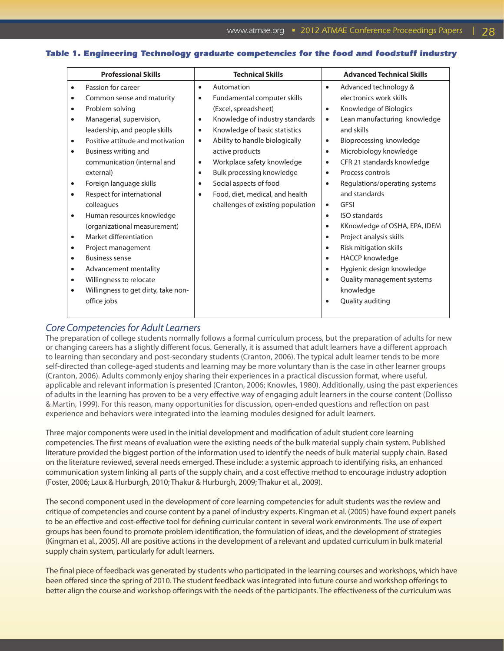## *Table 1. Engineering Technology graduate competencies for the food and foodstuff industry*

| <b>Professional Skills</b> |                                     | <b>Technical Skills</b> |                                   | <b>Advanced Technical Skills</b> |                               |
|----------------------------|-------------------------------------|-------------------------|-----------------------------------|----------------------------------|-------------------------------|
| $\bullet$                  | Passion for career                  | $\bullet$               | Automation                        | $\bullet$                        | Advanced technology &         |
| $\bullet$                  | Common sense and maturity           | $\bullet$               | Fundamental computer skills       |                                  | electronics work skills       |
| $\bullet$                  | Problem solving                     |                         | (Excel, spreadsheet)              | $\bullet$                        | Knowledge of Biologics        |
| $\bullet$                  | Managerial, supervision,            | $\bullet$               | Knowledge of industry standards   | $\bullet$                        | Lean manufacturing knowledge  |
|                            | leadership, and people skills       | $\bullet$               | Knowledge of basic statistics     |                                  | and skills                    |
| $\bullet$                  | Positive attitude and motivation    | $\bullet$               | Ability to handle biologically    | $\bullet$                        | Bioprocessing knowledge       |
| ٠                          | Business writing and                |                         | active products                   | $\bullet$                        | Microbiology knowledge        |
|                            | communication (internal and         | $\bullet$               | Workplace safety knowledge        | $\bullet$                        | CFR 21 standards knowledge    |
|                            | external)                           | $\bullet$               | Bulk processing knowledge         | $\bullet$                        | Process controls              |
| $\bullet$                  | Foreign language skills             | $\bullet$               | Social aspects of food            | $\bullet$                        | Regulations/operating systems |
|                            | Respect for international           | $\bullet$               | Food, diet, medical, and health   |                                  | and standards                 |
|                            | colleagues                          |                         | challenges of existing population | $\bullet$                        | <b>GFSI</b>                   |
| $\bullet$                  | Human resources knowledge           |                         |                                   | $\bullet$                        | <b>ISO</b> standards          |
|                            | (organizational measurement)        |                         |                                   | $\bullet$                        | KKnowledge of OSHA, EPA, IDEM |
| $\bullet$                  | Market differentiation              |                         |                                   | $\bullet$                        | Project analysis skills       |
| $\bullet$                  | Project management                  |                         |                                   | $\bullet$                        | Risk mitigation skills        |
| $\bullet$                  | <b>Business sense</b>               |                         |                                   | $\bullet$                        | <b>HACCP</b> knowledge        |
| $\bullet$                  | Advancement mentality               |                         |                                   | $\bullet$                        | Hygienic design knowledge     |
| $\bullet$                  | Willingness to relocate             |                         |                                   | $\bullet$                        | Quality management systems    |
| $\bullet$                  | Willingness to get dirty, take non- |                         |                                   |                                  | knowledge                     |
|                            | office jobs                         |                         |                                   | $\bullet$                        | Quality auditing              |
|                            |                                     |                         |                                   |                                  |                               |

## *Core Competencies for Adult Learners*

The preparation of college students normally follows a formal curriculum process, but the preparation of adults for new or changing careers has a slightly different focus. Generally, it is assumed that adult learners have a different approach to learning than secondary and post-secondary students (Cranton, 2006). The typical adult learner tends to be more self-directed than college-aged students and learning may be more voluntary than is the case in other learner groups (Cranton, 2006). Adults commonly enjoy sharing their experiences in a practical discussion format, where useful, applicable and relevant information is presented (Cranton, 2006; Knowles, 1980). Additionally, using the past experiences of adults in the learning has proven to be a very effective way of engaging adult learners in the course content (Dollisso & Martin, 1999). For this reason, many opportunities for discussion, open-ended questions and reflection on past experience and behaviors were integrated into the learning modules designed for adult learners.

Three major components were used in the initial development and modification of adult student core learning competencies. The first means of evaluation were the existing needs of the bulk material supply chain system. Published literature provided the biggest portion of the information used to identify the needs of bulk material supply chain. Based on the literature reviewed, several needs emerged. These include: a systemic approach to identifying risks, an enhanced communication system linking all parts of the supply chain, and a cost effective method to encourage industry adoption (Foster, 2006; Laux & Hurburgh, 2010; Thakur & Hurburgh, 2009; Thakur et al., 2009).

The second component used in the development of core learning competencies for adult students was the review and critique of competencies and course content by a panel of industry experts. Kingman et al. (2005) have found expert panels to be an effective and cost-effective tool for defining curricular content in several work environments. The use of expert groups has been found to promote problem identification, the formulation of ideas, and the development of strategies (Kingman et al., 2005). All are positive actions in the development of a relevant and updated curriculum in bulk material supply chain system, particularly for adult learners.

The final piece of feedback was generated by students who participated in the learning courses and workshops, which have been offered since the spring of 2010. The student feedback was integrated into future course and workshop offerings to better align the course and workshop offerings with the needs of the participants. The effectiveness of the curriculum was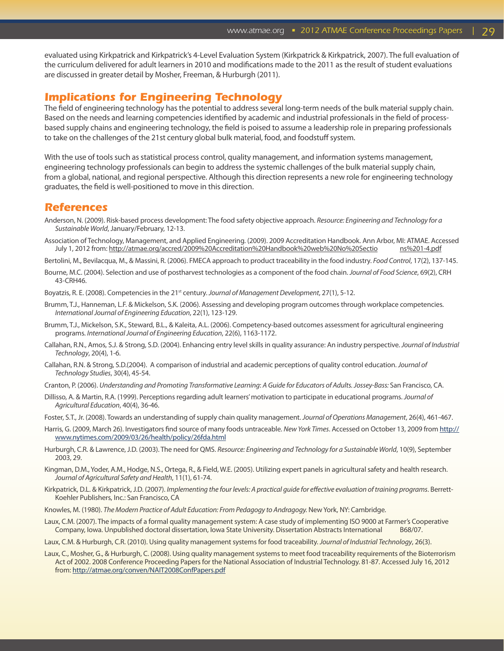evaluated using Kirkpatrick and Kirkpatrick's 4-Level Evaluation System (Kirkpatrick & Kirkpatrick, 2007). The full evaluation of the curriculum delivered for adult learners in 2010 and modifications made to the 2011 as the result of student evaluations are discussed in greater detail by Mosher, Freeman, & Hurburgh (2011).

## *Implications for Engineering Technology*

The field of engineering technology has the potential to address several long-term needs of the bulk material supply chain. Based on the needs and learning competencies identified by academic and industrial professionals in the field of processbased supply chains and engineering technology, the field is poised to assume a leadership role in preparing professionals to take on the challenges of the 21st century global bulk material, food, and foodstuff system.

With the use of tools such as statistical process control, quality management, and information systems management, engineering technology professionals can begin to address the systemic challenges of the bulk material supply chain, from a global, national, and regional perspective. Although this direction represents a new role for engineering technology graduates, the field is well-positioned to move in this direction.

## *References*

- Anderson, N. (2009). Risk-based process development: The food safety objective approach. *Resource: Engineering and Technology for a Sustainable World*, January/February, 12-13.
- Association of Technology, Management, and Applied Engineering. (2009). 2009 Accreditation Handbook. Ann Arbor, MI: ATMAE. Accessed July 1, 2012 from: http://atmae.org/accred/2009%20Accreditation%20Handbook%20web%20No%20Sectio ns%201-4.pdf
- Bertolini, M., Bevilacqua, M., & Massini, R. (2006). FMECA approach to product traceability in the food industry. *Food Control*, 17(2), 137-145.
- Bourne, M.C. (2004). Selection and use of postharvest technologies as a component of the food chain. *Journal of Food Science*, 69(2), CRH 43-CRH46.
- Boyatzis, R. E. (2008). Competencies in the 21st century. *Journal of Management Development*, 27(1), 5-12.
- Brumm, T.J., Hanneman, L.F. & Mickelson, S.K. (2006). Assessing and developing program outcomes through workplace competencies. *International Journal of Engineering Education*, 22(1), 123-129.
- Brumm, T.J., Mickelson, S.K., Steward, B.L., & Kaleita, A.L. (2006). Competency-based outcomes assessment for agricultural engineering programs. *International Journal of Engineering Education*, 22(6), 1163-1172.
- Callahan, R.N., Amos, S.J. & Strong, S.D. (2004). Enhancing entry level skills in quality assurance: An industry perspective. *Journal of Industrial Technology*, 20(4), 1-6.
- Callahan, R.N. & Strong, S.D.(2004). A comparison of industrial and academic perceptions of quality control education. *Journal of Technology Studies*, 30(4), 45-54.
- Cranton, P. (2006). *Understanding and Promoting Transformative Learning*: *A Guide for Educators of Adults. Jossey-Bass:* San Francisco, CA.
- Dillisso, A. & Martin, R.A. (1999). Perceptions regarding adult learners' motivation to participate in educational programs. *Journal of Agricultural Education*, 40(4), 36-46.
- Foster, S.T., Jr. (2008). Towards an understanding of supply chain quality management. *Journal of Operations Management*, 26(4), 461-467.
- Harris, G. (2009, March 26). Investigators find source of many foods untraceable. *New York Times*. Accessed on October 13, 2009 from [http://](http://www.nytimes.com/2009/03/26/health/policy/26fda.html) [www.nytimes.com/2009/03/26/health/policy/26fda.html](http://www.nytimes.com/2009/03/26/health/policy/26fda.html)
- Hurburgh, C.R. & Lawrence, J.D. (2003). The need for QMS. *Resource: Engineering and Technology for a Sustainable World*, 10(9), September 2003, 29.
- Kingman, D.M., Yoder, A.M., Hodge, N.S., Ortega, R., & Field, W.E. (2005). Utilizing expert panels in agricultural safety and health research. *Journal of Agricultural Safety and Health*, 11(1), 61-74.
- Kirkpatrick, D.L. & Kirkpatrick, J.D. (2007). *Implementing the four levels: A practical guide for effective evaluation of training programs*. Berrett-Koehler Publishers, Inc.: San Francisco, CA
- Knowles, M. (1980). *The Modern Practice of Adult Education: From Pedagogy to Andragogy.* New York, NY: Cambridge.
- Laux, C.M. (2007). The impacts of a formal quality management system: A case study of implementing ISO 9000 at Farmer's Cooperative Company, Iowa. Unpublished doctoral dissertation, Iowa State University. Dissertation Abstracts International B68/07.
- Laux, C.M. & Hurburgh, C.R. (2010). Using quality management systems for food traceability. *Journal of Industrial Technology*, 26(3).
- Laux, C., Mosher, G., & Hurburgh, C. (2008). Using quality management systems to meet food traceability requirements of the Bioterrorism Act of 2002. 2008 Conference Proceeding Papers for the National Association of Industrial Technology. 81-87. Accessed July 16, 2012 from:<http://atmae.org/conven/NAIT2008ConfPapers.pdf>